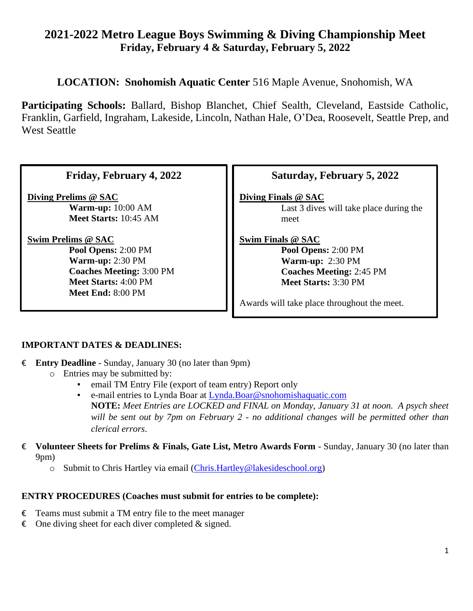# **2021-2022 Metro League Boys Swimming & Diving Championship Meet Friday, February 4 & Saturday, February 5, 2022**

**LOCATION: Snohomish Aquatic Center** 516 Maple Avenue, Snohomish, WA

**Participating Schools:** Ballard, Bishop Blanchet, Chief Sealth, Cleveland, Eastside Catholic, Franklin, Garfield, Ingraham, Lakeside, Lincoln, Nathan Hale, O'Dea, Roosevelt, Seattle Prep, and West Seattle

| Friday, February 4, 2022 |  |
|--------------------------|--|
|                          |  |

**Diving Prelims @ SAC Warm-up:** 10:00 AM **Meet Starts:** 10:45 AM

**Swim Prelims @ SAC** 

**Pool Opens:** 2:00 PM **Warm-up:** 2:30 PM **Coaches Meeting:** 3:00 PM **Meet Starts:** 4:00 PM **Meet End:** 8:00 PM

# **Saturday, February 5, 2022**

**Diving Finals @ SAC**

Last 3 dives will take place during the meet

**Swim Finals @ SAC** 

**Pool Opens:** 2:00 PM **Warm-up:** 2:30 PM **Coaches Meeting:** 2:45 PM **Meet Starts:** 3:30 PM

Awards will take place throughout the meet.

## **IMPORTANT DATES & DEADLINES:**

- € **Entry Deadline** Sunday, January 30 (no later than 9pm)
	- o Entries may be submitted by:
		- email TM Entry File (export of team entry) Report only
		- e-mail entries to Lynda Boar at [Lynda.Boar@snohomishaquatic.com](mailto:Lynda.Boar@snohomishaquatic.com) **NOTE:** *Meet Entries are LOCKED and FINAL on Monday, January 31 at noon. A psych sheet will be sent out by 7pm on February 2 - no additional changes will be permitted other than clerical errors*.
- € **Volunteer Sheets for Prelims & Finals, Gate List, Metro Awards Form** Sunday, January 30 (no later than 9pm)
	- o Submit to Chris Hartley via email [\(Chris.Hartley@lakesideschool.org\)](mailto:Chris.Hartley@lakesideschool.org)

### **ENTRY PROCEDURES (Coaches must submit for entries to be complete):**

- $\epsilon$  Teams must submit a TM entry file to the meet manager
- $\epsilon$  One diving sheet for each diver completed & signed.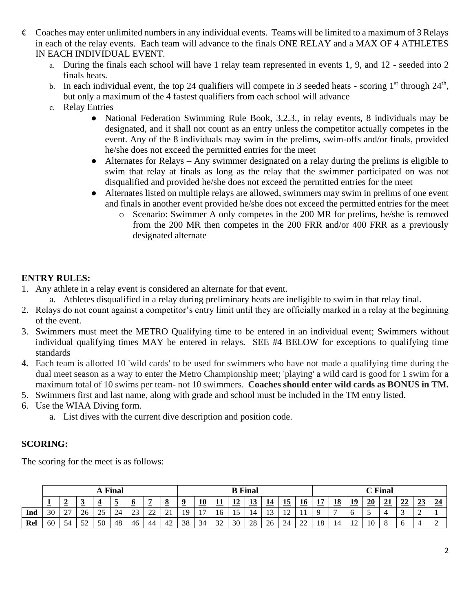- $\epsilon$  Coaches may enter unlimited numbers in any individual events. Teams will be limited to a maximum of 3 Relays in each of the relay events. Each team will advance to the finals ONE RELAY and a MAX OF 4 ATHLETES IN EACH INDIVIDUAL EVENT.
	- a. During the finals each school will have 1 relay team represented in events 1, 9, and 12 seeded into 2 finals heats.
	- b. In each individual event, the top 24 qualifiers will compete in 3 seeded heats scoring  $1<sup>st</sup>$  through  $24<sup>th</sup>$ , but only a maximum of the 4 fastest qualifiers from each school will advance
	- c. Relay Entries
		- National Federation Swimming Rule Book, 3.2.3., in relay events, 8 individuals may be designated, and it shall not count as an entry unless the competitor actually competes in the event. Any of the 8 individuals may swim in the prelims, swim-offs and/or finals, provided he/she does not exceed the permitted entries for the meet
		- Alternates for Relays Any swimmer designated on a relay during the prelims is eligible to swim that relay at finals as long as the relay that the swimmer participated on was not disqualified and provided he/she does not exceed the permitted entries for the meet
		- Alternates listed on multiple relays are allowed, swimmers may swim in prelims of one event and finals in another event provided he/she does not exceed the permitted entries for the meet
			- o Scenario: Swimmer A only competes in the 200 MR for prelims, he/she is removed from the 200 MR then competes in the 200 FRR and/or 400 FRR as a previously designated alternate

## **ENTRY RULES:**

- 1. Any athlete in a relay event is considered an alternate for that event.
	- a. Athletes disqualified in a relay during preliminary heats are ineligible to swim in that relay final.
- 2. Relays do not count against a competitor's entry limit until they are officially marked in a relay at the beginning of the event.
- 3. Swimmers must meet the METRO Qualifying time to be entered in an individual event; Swimmers without individual qualifying times MAY be entered in relays. SEE #4 BELOW for exceptions to qualifying time standards
- **4.** Each team is allotted 10 'wild cards' to be used for swimmers who have not made a qualifying time during the dual meet season as a way to enter the Metro Championship meet; 'playing' a wild card is good for 1 swim for a maximum total of 10 swims per team- not 10 swimmers. **Coaches should enter wild cards as BONUS in TM.**
- 5. Swimmers first and last name, along with grade and school must be included in the TM entry listed.
- 6. Use the WIAA Diving form.
	- a. List dives with the current dive description and position code.

## **SCORING:**

The scoring for the meet is as follows:

|     | <b>A</b> Final |                    |    |                     |    |             | <b>B</b> Final  |                   |             |    |            |                |           | $\mathbb C$ Final |                                  |         |                |          |                            |    |    |                           |    |  |
|-----|----------------|--------------------|----|---------------------|----|-------------|-----------------|-------------------|-------------|----|------------|----------------|-----------|-------------------|----------------------------------|---------|----------------|----------|----------------------------|----|----|---------------------------|----|--|
|     | ∸              | $\sim$             | ≚  | $\sim$              | ≚  | o<br>-      | $\sim$          | -                 | 9<br>$\sim$ | 10 | <u> 11</u> | $\overline{1}$ | <u>πο</u> | 14                | <u>15</u>                        | 10      | 15<br><b>*</b> | 10<br>10 | 19                         | 20 | 21 | $\sim$<br>44 <sup>o</sup> | 23 |  |
| Ind | 30             | $\sim$<br><u>.</u> | ZC | $\sim$ $\sim$<br>-- | ∽  | $\sim$<br>ت | $\bigcap$<br>-- | $\bigcap$ 1<br>∠⊥ | 10          |    | 1 U        |                |           | ְ<br>IJ           | 1 <sub>0</sub><br>$\overline{ }$ |         | $\sim$         |          |                            |    |    |                           |    |  |
| Rel | 60             | 54                 | 50 | 50                  | 48 | 46          | 44              | 42                | 38          | 34 | 32         | 30             | 28        | 26                | 24                               | ററ<br>∼ | 18             |          | 1 <sub>0</sub><br><b>I</b> | 10 |    |                           |    |  |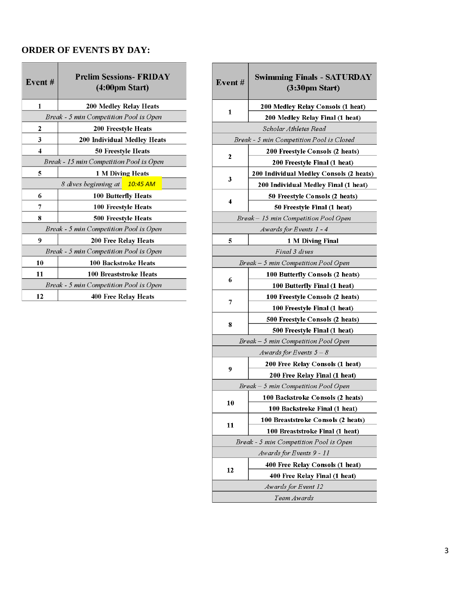#### **ORDER OF EVENTS BY DAY:**

| Event#                                  | <b>Prelim Sessions- FRIDAY</b><br>(4:00 <sub>pm</sub> Start) |  |  |  |  |  |
|-----------------------------------------|--------------------------------------------------------------|--|--|--|--|--|
| 1                                       | 200 Medley Relay Heats                                       |  |  |  |  |  |
|                                         | Break - 5 min Competition Pool is Open                       |  |  |  |  |  |
| 2                                       | 200 Freestyle Heats                                          |  |  |  |  |  |
| 3                                       | 200 Individual Medley Heats                                  |  |  |  |  |  |
| $\overline{\mathbf{4}}$                 | <b>50 Freestyle Heats</b>                                    |  |  |  |  |  |
| Break - 15 min Competition Pool is Open |                                                              |  |  |  |  |  |
| 5                                       | 1 M Diving Heats                                             |  |  |  |  |  |
| 8 dives beginning at 10:45 AM           |                                                              |  |  |  |  |  |
| 6                                       | 100 Butterfly Heats                                          |  |  |  |  |  |
| 7                                       | 100 Freestyle Heats                                          |  |  |  |  |  |
| 8                                       | 500 Freestyle Heats                                          |  |  |  |  |  |
| Break - 5 min Competition Pool is Open  |                                                              |  |  |  |  |  |
| 9                                       | 200 Free Relay Heats                                         |  |  |  |  |  |
|                                         | Break - 5 min Competition Pool is Open                       |  |  |  |  |  |
| 10                                      | 100 Backstroke Heats                                         |  |  |  |  |  |
| 11                                      | 100 Breaststroke Heats                                       |  |  |  |  |  |
| Break - 5 min Competition Pool is Open  |                                                              |  |  |  |  |  |
| 12                                      | <b>400 Free Relay Heats</b>                                  |  |  |  |  |  |

| Event#                                   | <b>Swimming Finals - SATURDAY</b><br>$(3:30 \text{pm Start})$ |  |  |  |  |  |
|------------------------------------------|---------------------------------------------------------------|--|--|--|--|--|
| 1                                        | 200 Medley Relay Consols (1 heat)                             |  |  |  |  |  |
|                                          | 200 Medley Relay Final (1 heat)                               |  |  |  |  |  |
|                                          | Scholar Athletes Read                                         |  |  |  |  |  |
| Break - 5 min Competition Pool is Closed |                                                               |  |  |  |  |  |
| 2                                        | 200 Freestyle Consols (2 heats)                               |  |  |  |  |  |
|                                          | 200 Freestyle Final (1 heat)                                  |  |  |  |  |  |
|                                          | 200 Individual Medley Consols (2 heats)                       |  |  |  |  |  |
| 3                                        | 200 Individual Medley Final (1 heat)                          |  |  |  |  |  |
|                                          | 50 Freestyle Consols (2 heats)                                |  |  |  |  |  |
| 4                                        | 50 Freestyle Final (1 heat)                                   |  |  |  |  |  |
|                                          | Break - 15 min Competition Pool Open                          |  |  |  |  |  |
|                                          | Awards for Events 1 - 4                                       |  |  |  |  |  |
| 5                                        | 1 M Diving Final                                              |  |  |  |  |  |
|                                          | Final 3 dives                                                 |  |  |  |  |  |
|                                          | Break – 5 min Competition Pool Open                           |  |  |  |  |  |
|                                          | 100 Butterfly Consols (2 heats)                               |  |  |  |  |  |
| 6                                        | 100 Butterfly Final (1 heat)                                  |  |  |  |  |  |
|                                          | 100 Freestyle Consols (2 heats)                               |  |  |  |  |  |
| 7                                        | 100 Freestyle Final (1 heat)                                  |  |  |  |  |  |
|                                          | 500 Freestyle Consols (2 heats)                               |  |  |  |  |  |
| 8                                        | 500 Freestyle Final (1 heat)                                  |  |  |  |  |  |
| Break – 5 min Competition Pool Open      |                                                               |  |  |  |  |  |
|                                          | Awards for Events $5-8$                                       |  |  |  |  |  |
|                                          | 200 Free Relay Consols (1 heat)                               |  |  |  |  |  |
| 9                                        | 200 Free Relay Final (1 heat)                                 |  |  |  |  |  |
|                                          | Break – 5 min Competition Pool Open                           |  |  |  |  |  |
|                                          | 100 Backstroke Consols (2 heats)                              |  |  |  |  |  |
| 10                                       | 100 Backstroke Final (1 heat)                                 |  |  |  |  |  |
|                                          | 100 Breaststroke Consols (2 heats)                            |  |  |  |  |  |
| 11                                       | 100 Breaststroke Final (1 heat)                               |  |  |  |  |  |
|                                          | Break - 5 min Competition Pool is Open                        |  |  |  |  |  |
|                                          | Awards for Events 9 - 11                                      |  |  |  |  |  |
|                                          | 400 Free Relay Consols (1 heat)                               |  |  |  |  |  |
| 12                                       | 400 Free Relay Final (1 heat)                                 |  |  |  |  |  |
|                                          | Awards for Event 12                                           |  |  |  |  |  |
|                                          | Team Awards                                                   |  |  |  |  |  |
|                                          |                                                               |  |  |  |  |  |

**Contract** 

<u> Tanzania (m. 1878)</u>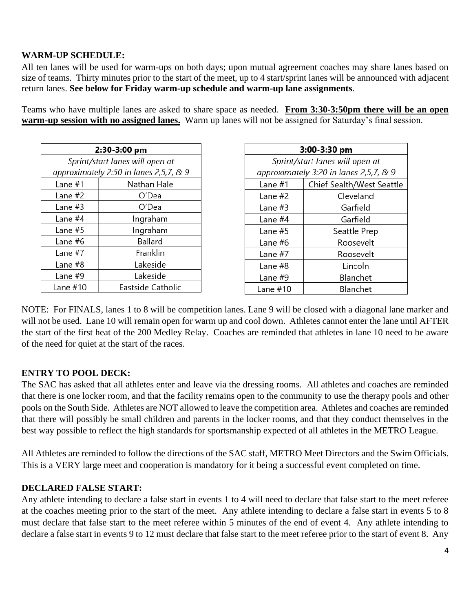## **WARM-UP SCHEDULE:**

All ten lanes will be used for warm-ups on both days; upon mutual agreement coaches may share lanes based on size of teams. Thirty minutes prior to the start of the meet, up to 4 start/sprint lanes will be announced with adjacent return lanes. **See below for Friday warm-up schedule and warm-up lane assignments**.

Teams who have multiple lanes are asked to share space as needed. **From 3:30-3:50pm there will be an open warm-up session with no assigned lanes.** Warm up lanes will not be assigned for Saturday's final session.

| 2:30-3:00 pm                           |                   |  |  |  |  |  |
|----------------------------------------|-------------------|--|--|--|--|--|
| Sprint/start lanes will open at        |                   |  |  |  |  |  |
| approximately 2:50 in lanes 2,5,7, & 9 |                   |  |  |  |  |  |
| Lane $#1$                              | Nathan Hale       |  |  |  |  |  |
| Lane #2                                | O'Dea             |  |  |  |  |  |
| Lane #3                                | O'Dea             |  |  |  |  |  |
| Lane #4                                | Ingraham          |  |  |  |  |  |
| Lane $#5$                              | Ingraham          |  |  |  |  |  |
| Lane #6                                | Ballard           |  |  |  |  |  |
| Lane #7                                | Franklin          |  |  |  |  |  |
| Lane #8                                | Lakeside          |  |  |  |  |  |
| Lane #9                                | Lakeside          |  |  |  |  |  |
| Lane $#10$                             | Eastside Catholic |  |  |  |  |  |

| 3:00-3:30 pm                           |                           |  |  |  |  |  |
|----------------------------------------|---------------------------|--|--|--|--|--|
| Sprint/start lanes will open at        |                           |  |  |  |  |  |
| approximately 3:20 in lanes 2,5,7, & 9 |                           |  |  |  |  |  |
| Lane #1                                | Chief Sealth/West Seattle |  |  |  |  |  |
| Lane #2                                | Cleveland                 |  |  |  |  |  |
| Lane #3                                | Garfield                  |  |  |  |  |  |
| Lane #4                                | Garfield                  |  |  |  |  |  |
| Lane $#5$                              | Seattle Prep              |  |  |  |  |  |
| Lane #6                                | Roosevelt                 |  |  |  |  |  |
| Lane #7                                | Roosevelt                 |  |  |  |  |  |
| Lane #8                                | Lincoln                   |  |  |  |  |  |
| Lane #9                                | Blanchet                  |  |  |  |  |  |
| Lane $#10$                             | Blanchet                  |  |  |  |  |  |

NOTE: For FINALS, lanes 1 to 8 will be competition lanes. Lane 9 will be closed with a diagonal lane marker and will not be used. Lane 10 will remain open for warm up and cool down. Athletes cannot enter the lane until AFTER the start of the first heat of the 200 Medley Relay. Coaches are reminded that athletes in lane 10 need to be aware of the need for quiet at the start of the races.

### **ENTRY TO POOL DECK:**

The SAC has asked that all athletes enter and leave via the dressing rooms. All athletes and coaches are reminded that there is one locker room, and that the facility remains open to the community to use the therapy pools and other pools on the South Side. Athletes are NOT allowed to leave the competition area. Athletes and coaches are reminded that there will possibly be small children and parents in the locker rooms, and that they conduct themselves in the best way possible to reflect the high standards for sportsmanship expected of all athletes in the METRO League.

All Athletes are reminded to follow the directions of the SAC staff, METRO Meet Directors and the Swim Officials. This is a VERY large meet and cooperation is mandatory for it being a successful event completed on time.

### **DECLARED FALSE START:**

Any athlete intending to declare a false start in events 1 to 4 will need to declare that false start to the meet referee at the coaches meeting prior to the start of the meet. Any athlete intending to declare a false start in events 5 to 8 must declare that false start to the meet referee within 5 minutes of the end of event 4. Any athlete intending to declare a false start in events 9 to 12 must declare that false start to the meet referee prior to the start of event 8. Any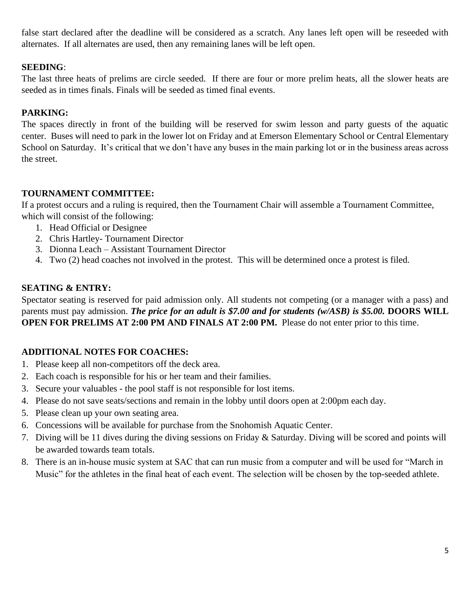false start declared after the deadline will be considered as a scratch. Any lanes left open will be reseeded with alternates. If all alternates are used, then any remaining lanes will be left open.

### **SEEDING**:

The last three heats of prelims are circle seeded. If there are four or more prelim heats, all the slower heats are seeded as in times finals. Finals will be seeded as timed final events.

## **PARKING:**

The spaces directly in front of the building will be reserved for swim lesson and party guests of the aquatic center. Buses will need to park in the lower lot on Friday and at Emerson Elementary School or Central Elementary School on Saturday. It's critical that we don't have any buses in the main parking lot or in the business areas across the street.

### **TOURNAMENT COMMITTEE:**

If a protest occurs and a ruling is required, then the Tournament Chair will assemble a Tournament Committee, which will consist of the following:

- 1. Head Official or Designee
- 2. Chris Hartley- Tournament Director
- 3. Dionna Leach Assistant Tournament Director
- 4. Two (2) head coaches not involved in the protest. This will be determined once a protest is filed.

#### **SEATING & ENTRY:**

Spectator seating is reserved for paid admission only. All students not competing (or a manager with a pass) and parents must pay admission. *The price for an adult is \$7.00 and for students (w/ASB) is \$5.00.* **DOORS WILL OPEN FOR PRELIMS AT 2:00 PM AND FINALS AT 2:00 PM.** Please do not enter prior to this time.

### **ADDITIONAL NOTES FOR COACHES:**

- 1. Please keep all non-competitors off the deck area.
- 2. Each coach is responsible for his or her team and their families.
- 3. Secure your valuables the pool staff is not responsible for lost items.
- 4. Please do not save seats/sections and remain in the lobby until doors open at 2:00pm each day.
- 5. Please clean up your own seating area.
- 6. Concessions will be available for purchase from the Snohomish Aquatic Center.
- 7. Diving will be 11 dives during the diving sessions on Friday & Saturday. Diving will be scored and points will be awarded towards team totals.
- 8. There is an in-house music system at SAC that can run music from a computer and will be used for "March in Music" for the athletes in the final heat of each event. The selection will be chosen by the top-seeded athlete.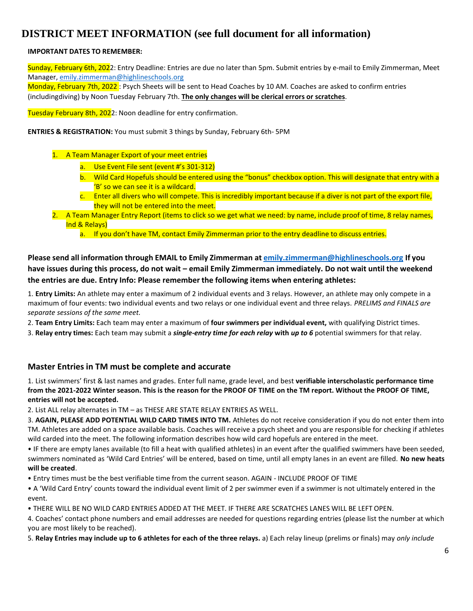# **DISTRICT MEET INFORMATION (see full document for all information)**

#### **IMPORTANT DATES TO REMEMBER:**

Sunday, February 6th, 2022: Entry Deadline: Entries are due no later than 5pm. Submit entries by e-mail to Emily Zimmerman, Meet Manager, [emily.zimmerman@highlineschools.org](mailto:emily.zimmerman@highlineschools.org)

Monday, February 7th, 2022 : Psych Sheets will be sent to Head Coaches by 10 AM. Coaches are asked to confirm entries (includingdiving) by Noon Tuesday February 7th. **The only changes will be clerical errors or scratches**.

Tuesday February 8th, 2022: Noon deadline for entry confirmation.

**ENTRIES & REGISTRATION:** You must submit 3 things by Sunday, February 6th- 5PM

- 1. A Team Manager Export of your meet entries
	- a. Use Event File sent (event #'s 301-312)
	- b. Wild Card Hopefuls should be entered using the "bonus" checkbox option. This will designate that entry with a 'B' so we can see it is a wildcard.
	- c. Enter all divers who will compete. This is incredibly important because if a diver is not part of the export file, they will not be entered into the meet.
- 2. A Team Manager Entry Report (items to click so we get what we need: by name, include proof of time, 8 relay names, Ind & Relays)
	- a. If you don't have TM, contact Emily Zimmerman prior to the entry deadline to discuss entries.

**Please send all information through EMAIL to Emily Zimmerman at [emily.zimmerman@highlineschools.org](mailto:emily.zimmerman@highlineschools.org) If you have issues during this process, do not wait – email Emily Zimmerman immediately. Do not wait until the weekend the entries are due. Entry Info: Please remember the following items when entering athletes:**

1. **Entry Limits:** An athlete may enter a maximum of 2 individual events and 3 relays. However, an athlete may only compete in a maximum of four events: two individual events and two relays or one individual event and three relays. *PRELIMS and FINALS are separate sessions of the same meet.*

2. **Team Entry Limits:** Each team may enter a maximum of **four swimmers per individual event,** with qualifying District times.

3. **Relay entry times:** Each team may submit a *single-entry time for each relay* **with** *up to 6* potential swimmers for that relay.

#### **Master Entries in TM must be complete and accurate**

1. List swimmers' first & last names and grades. Enter full name, grade level, and best **verifiable interscholastic performance time from the 2021-2022 Winter season. This is the reason for the PROOF OF TIME on the TM report. Without the PROOF OF TIME, entries will not be accepted.**

2. List ALL relay alternates in TM – as THESE ARE STATE RELAY ENTRIES AS WELL.

3. **AGAIN, PLEASE ADD POTENTIAL WILD CARD TIMES INTO TM.** Athletes do not receive consideration if you do not enter them into TM. Athletes are added on a space available basis. Coaches will receive a psych sheet and you are responsible for checking if athletes wild carded into the meet. The following information describes how wild card hopefuls are entered in the meet.

• IF there are empty lanes available (to fill a heat with qualified athletes) in an event after the qualified swimmers have been seeded, swimmers nominated as 'Wild Card Entries' will be entered, based on time, until all empty lanes in an event are filled. **No new heats will be created**.

• Entry times must be the best verifiable time from the current season. AGAIN - INCLUDE PROOF OF TIME

• A 'Wild Card Entry' counts toward the individual event limit of 2 per swimmer even if a swimmer is not ultimately entered in the event.

• THERE WILL BE NO WILD CARD ENTRIES ADDED AT THE MEET. IF THERE ARE SCRATCHES LANES WILL BE LEFT OPEN.

4. Coaches' contact phone numbers and email addresses are needed for questions regarding entries (please list the number at which you are most likely to be reached).

5. **Relay Entries may include up to 6 athletes for each of the three relays.** a) Each relay lineup (prelims or finals) may *only include*